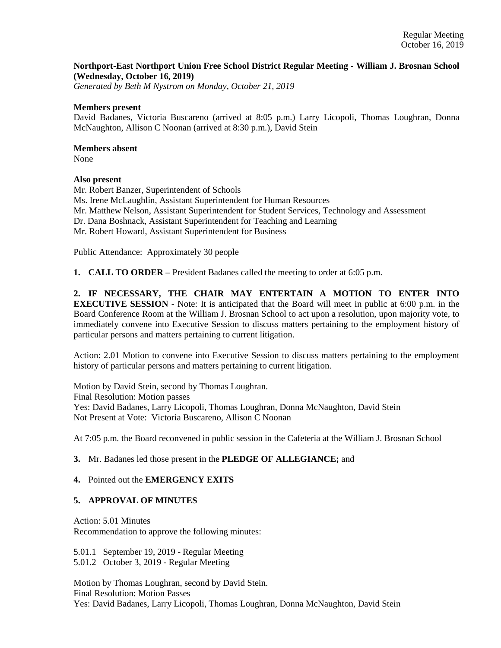## **Northport-East Northport Union Free School District Regular Meeting - William J. Brosnan School (Wednesday, October 16, 2019)**

*Generated by Beth M Nystrom on Monday, October 21, 2019*

#### **Members present**

David Badanes, Victoria Buscareno (arrived at 8:05 p.m.) Larry Licopoli, Thomas Loughran, Donna McNaughton, Allison C Noonan (arrived at 8:30 p.m.), David Stein

#### **Members absent**

None

## **Also present**

Mr. Robert Banzer, Superintendent of Schools Ms. Irene McLaughlin, Assistant Superintendent for Human Resources Mr. Matthew Nelson, Assistant Superintendent for Student Services, Technology and Assessment Dr. Dana Boshnack, Assistant Superintendent for Teaching and Learning Mr. Robert Howard, Assistant Superintendent for Business

Public Attendance: Approximately 30 people

**1. CALL TO ORDER** – President Badanes called the meeting to order at 6:05 p.m.

**2. IF NECESSARY, THE CHAIR MAY ENTERTAIN A MOTION TO ENTER INTO EXECUTIVE SESSION** - Note: It is anticipated that the Board will meet in public at 6:00 p.m. in the Board Conference Room at the William J. Brosnan School to act upon a resolution, upon majority vote, to immediately convene into Executive Session to discuss matters pertaining to the employment history of particular persons and matters pertaining to current litigation.

Action: 2.01 Motion to convene into Executive Session to discuss matters pertaining to the employment history of particular persons and matters pertaining to current litigation.

Motion by David Stein, second by Thomas Loughran. Final Resolution: Motion passes Yes: David Badanes, Larry Licopoli, Thomas Loughran, Donna McNaughton, David Stein Not Present at Vote: Victoria Buscareno, Allison C Noonan

At 7:05 p.m. the Board reconvened in public session in the Cafeteria at the William J. Brosnan School

## **3.** Mr. Badanes led those present in the **PLEDGE OF ALLEGIANCE;** and

## **4.** Pointed out the **EMERGENCY EXITS**

## **5. APPROVAL OF MINUTES**

Action: 5.01 Minutes Recommendation to approve the following minutes:

5.01.1 September 19, 2019 - Regular Meeting

5.01.2 October 3, 2019 - Regular Meeting

Motion by Thomas Loughran, second by David Stein. Final Resolution: Motion Passes Yes: David Badanes, Larry Licopoli, Thomas Loughran, Donna McNaughton, David Stein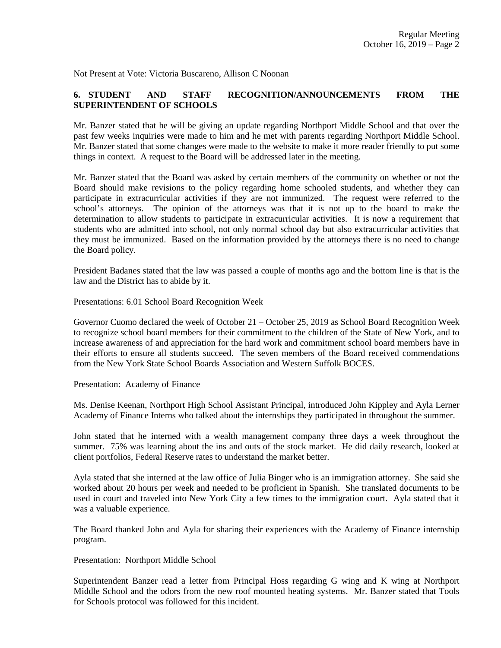Not Present at Vote: Victoria Buscareno, Allison C Noonan

## **6. STUDENT AND STAFF RECOGNITION/ANNOUNCEMENTS FROM THE SUPERINTENDENT OF SCHOOLS**

Mr. Banzer stated that he will be giving an update regarding Northport Middle School and that over the past few weeks inquiries were made to him and he met with parents regarding Northport Middle School. Mr. Banzer stated that some changes were made to the website to make it more reader friendly to put some things in context. A request to the Board will be addressed later in the meeting.

Mr. Banzer stated that the Board was asked by certain members of the community on whether or not the Board should make revisions to the policy regarding home schooled students, and whether they can participate in extracurricular activities if they are not immunized. The request were referred to the school's attorneys. The opinion of the attorneys was that it is not up to the board to make the determination to allow students to participate in extracurricular activities. It is now a requirement that students who are admitted into school, not only normal school day but also extracurricular activities that they must be immunized. Based on the information provided by the attorneys there is no need to change the Board policy.

President Badanes stated that the law was passed a couple of months ago and the bottom line is that is the law and the District has to abide by it.

Presentations: 6.01 School Board Recognition Week

Governor Cuomo declared the week of October 21 – October 25, 2019 as School Board Recognition Week to recognize school board members for their commitment to the children of the State of New York, and to increase awareness of and appreciation for the hard work and commitment school board members have in their efforts to ensure all students succeed. The seven members of the Board received commendations from the New York State School Boards Association and Western Suffolk BOCES.

Presentation: Academy of Finance

Ms. Denise Keenan, Northport High School Assistant Principal, introduced John Kippley and Ayla Lerner Academy of Finance Interns who talked about the internships they participated in throughout the summer.

John stated that he interned with a wealth management company three days a week throughout the summer. 75% was learning about the ins and outs of the stock market. He did daily research, looked at client portfolios, Federal Reserve rates to understand the market better.

Ayla stated that she interned at the law office of Julia Binger who is an immigration attorney. She said she worked about 20 hours per week and needed to be proficient in Spanish. She translated documents to be used in court and traveled into New York City a few times to the immigration court. Ayla stated that it was a valuable experience.

The Board thanked John and Ayla for sharing their experiences with the Academy of Finance internship program.

Presentation: Northport Middle School

Superintendent Banzer read a letter from Principal Hoss regarding G wing and K wing at Northport Middle School and the odors from the new roof mounted heating systems. Mr. Banzer stated that Tools for Schools protocol was followed for this incident.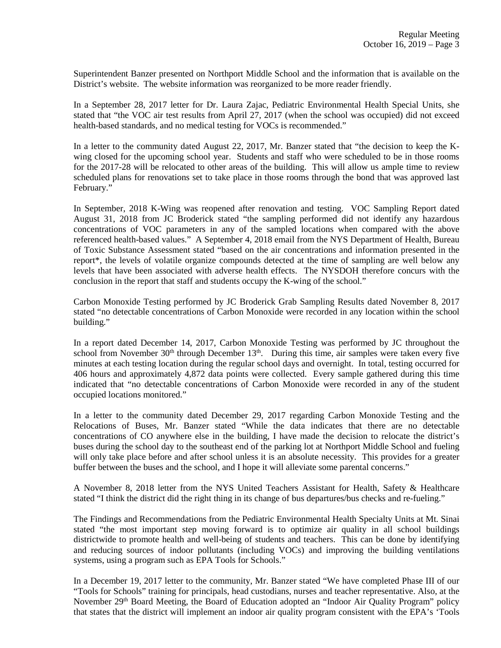Superintendent Banzer presented on Northport Middle School and the information that is available on the District's website. The website information was reorganized to be more reader friendly.

In a September 28, 2017 letter for Dr. Laura Zajac, Pediatric Environmental Health Special Units, she stated that "the VOC air test results from April 27, 2017 (when the school was occupied) did not exceed health-based standards, and no medical testing for VOCs is recommended."

In a letter to the community dated August 22, 2017, Mr. Banzer stated that "the decision to keep the Kwing closed for the upcoming school year. Students and staff who were scheduled to be in those rooms for the 2017-28 will be relocated to other areas of the building. This will allow us ample time to review scheduled plans for renovations set to take place in those rooms through the bond that was approved last February."

In September, 2018 K-Wing was reopened after renovation and testing. VOC Sampling Report dated August 31, 2018 from JC Broderick stated "the sampling performed did not identify any hazardous concentrations of VOC parameters in any of the sampled locations when compared with the above referenced health-based values." A September 4, 2018 email from the NYS Department of Health, Bureau of Toxic Substance Assessment stated "based on the air concentrations and information presented in the report\*, the levels of volatile organize compounds detected at the time of sampling are well below any levels that have been associated with adverse health effects. The NYSDOH therefore concurs with the conclusion in the report that staff and students occupy the K-wing of the school."

Carbon Monoxide Testing performed by JC Broderick Grab Sampling Results dated November 8, 2017 stated "no detectable concentrations of Carbon Monoxide were recorded in any location within the school building."

In a report dated December 14, 2017, Carbon Monoxide Testing was performed by JC throughout the school from November  $30<sup>th</sup>$  through December  $13<sup>th</sup>$ . During this time, air samples were taken every five minutes at each testing location during the regular school days and overnight. In total, testing occurred for 406 hours and approximately 4,872 data points were collected. Every sample gathered during this time indicated that "no detectable concentrations of Carbon Monoxide were recorded in any of the student occupied locations monitored."

In a letter to the community dated December 29, 2017 regarding Carbon Monoxide Testing and the Relocations of Buses, Mr. Banzer stated "While the data indicates that there are no detectable concentrations of CO anywhere else in the building, I have made the decision to relocate the district's buses during the school day to the southeast end of the parking lot at Northport Middle School and fueling will only take place before and after school unless it is an absolute necessity. This provides for a greater buffer between the buses and the school, and I hope it will alleviate some parental concerns."

A November 8, 2018 letter from the NYS United Teachers Assistant for Health, Safety & Healthcare stated "I think the district did the right thing in its change of bus departures/bus checks and re-fueling."

The Findings and Recommendations from the Pediatric Environmental Health Specialty Units at Mt. Sinai stated "the most important step moving forward is to optimize air quality in all school buildings districtwide to promote health and well-being of students and teachers. This can be done by identifying and reducing sources of indoor pollutants (including VOCs) and improving the building ventilations systems, using a program such as EPA Tools for Schools."

In a December 19, 2017 letter to the community, Mr. Banzer stated "We have completed Phase III of our "Tools for Schools" training for principals, head custodians, nurses and teacher representative. Also, at the November 29<sup>th</sup> Board Meeting, the Board of Education adopted an "Indoor Air Quality Program" policy that states that the district will implement an indoor air quality program consistent with the EPA's 'Tools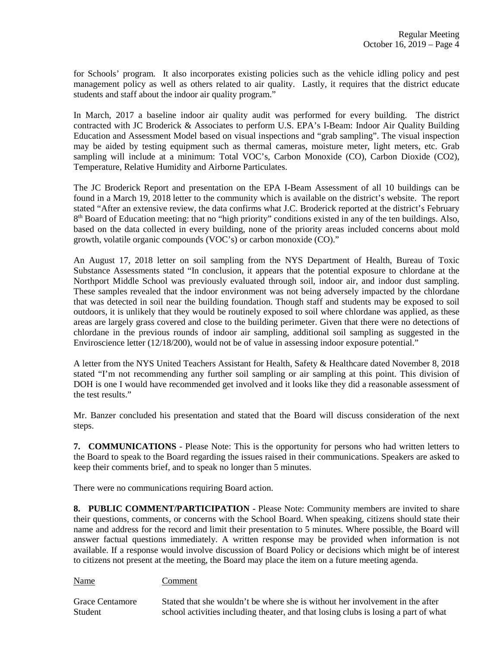for Schools' program. It also incorporates existing policies such as the vehicle idling policy and pest management policy as well as others related to air quality. Lastly, it requires that the district educate students and staff about the indoor air quality program."

In March, 2017 a baseline indoor air quality audit was performed for every building. The district contracted with JC Broderick & Associates to perform U.S. EPA's I-Beam: Indoor Air Quality Building Education and Assessment Model based on visual inspections and "grab sampling". The visual inspection may be aided by testing equipment such as thermal cameras, moisture meter, light meters, etc. Grab sampling will include at a minimum: Total VOC's, Carbon Monoxide (CO), Carbon Dioxide (CO2), Temperature, Relative Humidity and Airborne Particulates.

The JC Broderick Report and presentation on the EPA I-Beam Assessment of all 10 buildings can be found in a March 19, 2018 letter to the community which is available on the district's website. The report stated "After an extensive review, the data confirms what J.C. Broderick reported at the district's February 8<sup>th</sup> Board of Education meeting: that no "high priority" conditions existed in any of the ten buildings. Also, based on the data collected in every building, none of the priority areas included concerns about mold growth, volatile organic compounds (VOC's) or carbon monoxide (CO)."

An August 17, 2018 letter on soil sampling from the NYS Department of Health, Bureau of Toxic Substance Assessments stated "In conclusion, it appears that the potential exposure to chlordane at the Northport Middle School was previously evaluated through soil, indoor air, and indoor dust sampling. These samples revealed that the indoor environment was not being adversely impacted by the chlordane that was detected in soil near the building foundation. Though staff and students may be exposed to soil outdoors, it is unlikely that they would be routinely exposed to soil where chlordane was applied, as these areas are largely grass covered and close to the building perimeter. Given that there were no detections of chlordane in the previous rounds of indoor air sampling, additional soil sampling as suggested in the Enviroscience letter (12/18/200), would not be of value in assessing indoor exposure potential."

A letter from the NYS United Teachers Assistant for Health, Safety & Healthcare dated November 8, 2018 stated "I'm not recommending any further soil sampling or air sampling at this point. This division of DOH is one I would have recommended get involved and it looks like they did a reasonable assessment of the test results."

Mr. Banzer concluded his presentation and stated that the Board will discuss consideration of the next steps.

**7. COMMUNICATIONS** - Please Note: This is the opportunity for persons who had written letters to the Board to speak to the Board regarding the issues raised in their communications. Speakers are asked to keep their comments brief, and to speak no longer than 5 minutes.

There were no communications requiring Board action.

**8. PUBLIC COMMENT/PARTICIPATION** - Please Note: Community members are invited to share their questions, comments, or concerns with the School Board. When speaking, citizens should state their name and address for the record and limit their presentation to 5 minutes. Where possible, the Board will answer factual questions immediately. A written response may be provided when information is not available. If a response would involve discussion of Board Policy or decisions which might be of interest to citizens not present at the meeting, the Board may place the item on a future meeting agenda.

Name Comment

Grace Centamore Stated that she wouldn't be where she is without her involvement in the after Student school activities including theater, and that losing clubs is losing a part of what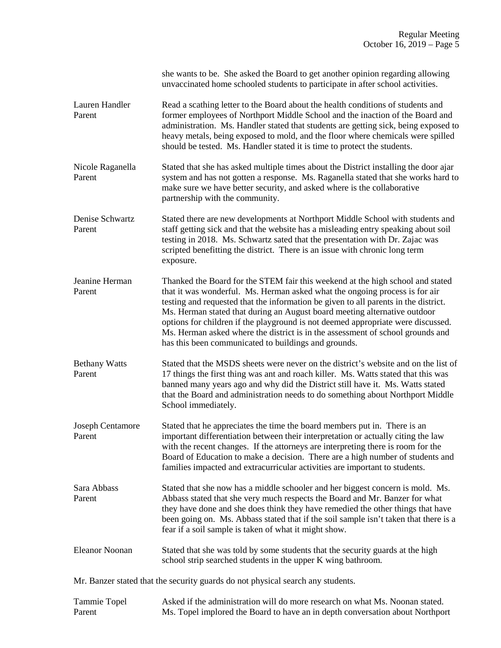|                                | she wants to be. She asked the Board to get another opinion regarding allowing<br>unvaccinated home schooled students to participate in after school activities.                                                                                                                                                                                                                                                                                                                                                                                                |
|--------------------------------|-----------------------------------------------------------------------------------------------------------------------------------------------------------------------------------------------------------------------------------------------------------------------------------------------------------------------------------------------------------------------------------------------------------------------------------------------------------------------------------------------------------------------------------------------------------------|
| Lauren Handler<br>Parent       | Read a scathing letter to the Board about the health conditions of students and<br>former employees of Northport Middle School and the inaction of the Board and<br>administration. Ms. Handler stated that students are getting sick, being exposed to<br>heavy metals, being exposed to mold, and the floor where chemicals were spilled<br>should be tested. Ms. Handler stated it is time to protect the students.                                                                                                                                          |
| Nicole Raganella<br>Parent     | Stated that she has asked multiple times about the District installing the door ajar<br>system and has not gotten a response. Ms. Raganella stated that she works hard to<br>make sure we have better security, and asked where is the collaborative<br>partnership with the community.                                                                                                                                                                                                                                                                         |
| Denise Schwartz<br>Parent      | Stated there are new developments at Northport Middle School with students and<br>staff getting sick and that the website has a misleading entry speaking about soil<br>testing in 2018. Ms. Schwartz sated that the presentation with Dr. Zajac was<br>scripted benefitting the district. There is an issue with chronic long term<br>exposure.                                                                                                                                                                                                                |
| Jeanine Herman<br>Parent       | Thanked the Board for the STEM fair this weekend at the high school and stated<br>that it was wonderful. Ms. Herman asked what the ongoing process is for air<br>testing and requested that the information be given to all parents in the district.<br>Ms. Herman stated that during an August board meeting alternative outdoor<br>options for children if the playground is not deemed appropriate were discussed.<br>Ms. Herman asked where the district is in the assessment of school grounds and<br>has this been communicated to buildings and grounds. |
| <b>Bethany Watts</b><br>Parent | Stated that the MSDS sheets were never on the district's website and on the list of<br>17 things the first thing was ant and roach killer. Ms. Watts stated that this was<br>banned many years ago and why did the District still have it. Ms. Watts stated<br>that the Board and administration needs to do something about Northport Middle<br>School immediately.                                                                                                                                                                                            |
| Joseph Centamore<br>Parent     | Stated that he appreciates the time the board members put in. There is an<br>important differentiation between their interpretation or actually citing the law<br>with the recent changes. If the attorneys are interpreting there is room for the<br>Board of Education to make a decision. There are a high number of students and<br>families impacted and extracurricular activities are important to students.                                                                                                                                             |
| Sara Abbass<br>Parent          | Stated that she now has a middle schooler and her biggest concern is mold. Ms.<br>Abbass stated that she very much respects the Board and Mr. Banzer for what<br>they have done and she does think they have remedied the other things that have<br>been going on. Ms. Abbass stated that if the soil sample isn't taken that there is a<br>fear if a soil sample is taken of what it might show.                                                                                                                                                               |
| <b>Eleanor Noonan</b>          | Stated that she was told by some students that the security guards at the high<br>school strip searched students in the upper K wing bathroom.                                                                                                                                                                                                                                                                                                                                                                                                                  |
|                                | Mr. Banzer stated that the security guards do not physical search any students.                                                                                                                                                                                                                                                                                                                                                                                                                                                                                 |

| Tammie Topel | Asked if the administration will do more research on what Ms. Noonan stated.  |
|--------------|-------------------------------------------------------------------------------|
| Parent       | Ms. Topel implored the Board to have an in depth conversation about Northport |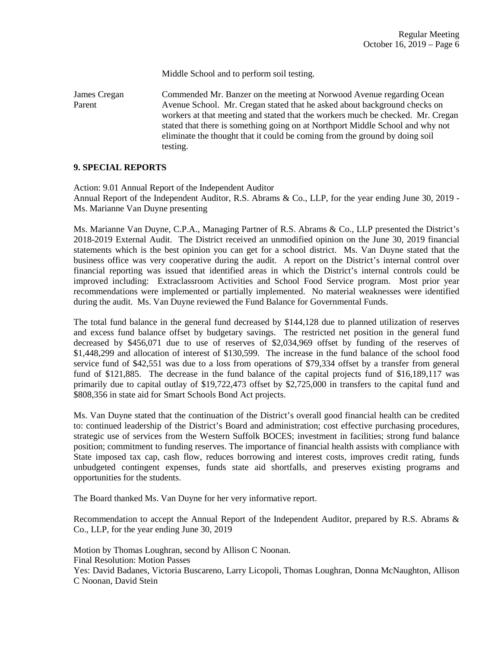Middle School and to perform soil testing.

James Cregan Commended Mr. Banzer on the meeting at Norwood Avenue regarding Ocean Parent Avenue School. Mr. Cregan stated that he asked about background checks on workers at that meeting and stated that the workers much be checked. Mr. Cregan stated that there is something going on at Northport Middle School and why not eliminate the thought that it could be coming from the ground by doing soil testing.

#### **9. SPECIAL REPORTS**

Action: 9.01 Annual Report of the Independent Auditor Annual Report of the Independent Auditor, R.S. Abrams & Co., LLP, for the year ending June 30, 2019 - Ms. Marianne Van Duyne presenting

Ms. Marianne Van Duyne, C.P.A., Managing Partner of R.S. Abrams & Co., LLP presented the District's 2018-2019 External Audit. The District received an unmodified opinion on the June 30, 2019 financial statements which is the best opinion you can get for a school district. Ms. Van Duyne stated that the business office was very cooperative during the audit. A report on the District's internal control over financial reporting was issued that identified areas in which the District's internal controls could be improved including: Extraclassroom Activities and School Food Service program. Most prior year recommendations were implemented or partially implemented. No material weaknesses were identified during the audit. Ms. Van Duyne reviewed the Fund Balance for Governmental Funds.

The total fund balance in the general fund decreased by \$144,128 due to planned utilization of reserves and excess fund balance offset by budgetary savings. The restricted net position in the general fund decreased by \$456,071 due to use of reserves of \$2,034,969 offset by funding of the reserves of \$1,448,299 and allocation of interest of \$130,599. The increase in the fund balance of the school food service fund of \$42,551 was due to a loss from operations of \$79,334 offset by a transfer from general fund of \$121,885. The decrease in the fund balance of the capital projects fund of \$16,189,117 was primarily due to capital outlay of \$19,722,473 offset by \$2,725,000 in transfers to the capital fund and \$808,356 in state aid for Smart Schools Bond Act projects.

Ms. Van Duyne stated that the continuation of the District's overall good financial health can be credited to: continued leadership of the District's Board and administration; cost effective purchasing procedures, strategic use of services from the Western Suffolk BOCES; investment in facilities; strong fund balance position; commitment to funding reserves. The importance of financial health assists with compliance with State imposed tax cap, cash flow, reduces borrowing and interest costs, improves credit rating, funds unbudgeted contingent expenses, funds state aid shortfalls, and preserves existing programs and opportunities for the students.

The Board thanked Ms. Van Duyne for her very informative report.

Recommendation to accept the Annual Report of the Independent Auditor, prepared by R.S. Abrams & Co., LLP, for the year ending June 30, 2019

Motion by Thomas Loughran, second by Allison C Noonan. Final Resolution: Motion Passes Yes: David Badanes, Victoria Buscareno, Larry Licopoli, Thomas Loughran, Donna McNaughton, Allison C Noonan, David Stein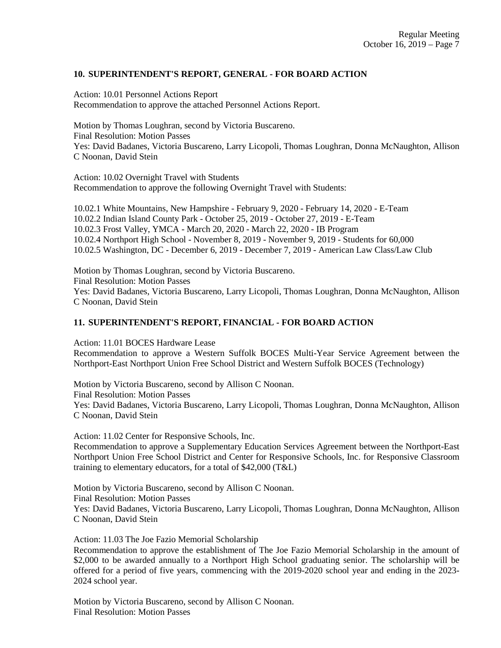## **10. SUPERINTENDENT'S REPORT, GENERAL - FOR BOARD ACTION**

Action: 10.01 Personnel Actions Report Recommendation to approve the attached Personnel Actions Report.

Motion by Thomas Loughran, second by Victoria Buscareno. Final Resolution: Motion Passes Yes: David Badanes, Victoria Buscareno, Larry Licopoli, Thomas Loughran, Donna McNaughton, Allison C Noonan, David Stein

Action: 10.02 Overnight Travel with Students Recommendation to approve the following Overnight Travel with Students:

10.02.1 White Mountains, New Hampshire - February 9, 2020 - February 14, 2020 - E-Team 10.02.2 Indian Island County Park - October 25, 2019 - October 27, 2019 - E-Team 10.02.3 Frost Valley, YMCA - March 20, 2020 - March 22, 2020 - IB Program 10.02.4 Northport High School - November 8, 2019 - November 9, 2019 - Students for 60,000 10.02.5 Washington, DC - December 6, 2019 - December 7, 2019 - American Law Class/Law Club

Motion by Thomas Loughran, second by Victoria Buscareno. Final Resolution: Motion Passes Yes: David Badanes, Victoria Buscareno, Larry Licopoli, Thomas Loughran, Donna McNaughton, Allison C Noonan, David Stein

## **11. SUPERINTENDENT'S REPORT, FINANCIAL - FOR BOARD ACTION**

Action: 11.01 BOCES Hardware Lease Recommendation to approve a Western Suffolk BOCES Multi-Year Service Agreement between the Northport-East Northport Union Free School District and Western Suffolk BOCES (Technology)

Motion by Victoria Buscareno, second by Allison C Noonan. Final Resolution: Motion Passes Yes: David Badanes, Victoria Buscareno, Larry Licopoli, Thomas Loughran, Donna McNaughton, Allison C Noonan, David Stein

Action: 11.02 Center for Responsive Schools, Inc. Recommendation to approve a Supplementary Education Services Agreement between the Northport-East Northport Union Free School District and Center for Responsive Schools, Inc. for Responsive Classroom training to elementary educators, for a total of \$42,000 (T&L)

Motion by Victoria Buscareno, second by Allison C Noonan. Final Resolution: Motion Passes Yes: David Badanes, Victoria Buscareno, Larry Licopoli, Thomas Loughran, Donna McNaughton, Allison C Noonan, David Stein

Action: 11.03 The Joe Fazio Memorial Scholarship Recommendation to approve the establishment of The Joe Fazio Memorial Scholarship in the amount of \$2,000 to be awarded annually to a Northport High School graduating senior. The scholarship will be offered for a period of five years, commencing with the 2019-2020 school year and ending in the 2023- 2024 school year.

Motion by Victoria Buscareno, second by Allison C Noonan. Final Resolution: Motion Passes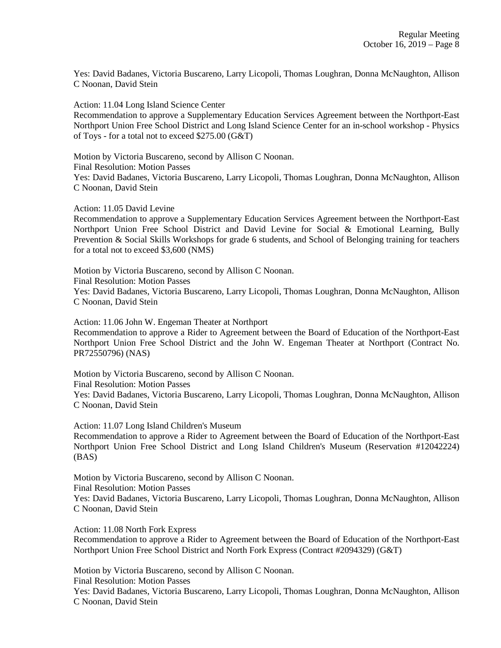Yes: David Badanes, Victoria Buscareno, Larry Licopoli, Thomas Loughran, Donna McNaughton, Allison C Noonan, David Stein

Action: 11.04 Long Island Science Center

Recommendation to approve a Supplementary Education Services Agreement between the Northport-East Northport Union Free School District and Long Island Science Center for an in-school workshop - Physics of Toys - for a total not to exceed \$275.00 (G&T)

Motion by Victoria Buscareno, second by Allison C Noonan. Final Resolution: Motion Passes Yes: David Badanes, Victoria Buscareno, Larry Licopoli, Thomas Loughran, Donna McNaughton, Allison C Noonan, David Stein

Action: 11.05 David Levine

Recommendation to approve a Supplementary Education Services Agreement between the Northport-East Northport Union Free School District and David Levine for Social & Emotional Learning, Bully Prevention & Social Skills Workshops for grade 6 students, and School of Belonging training for teachers for a total not to exceed \$3,600 (NMS)

Motion by Victoria Buscareno, second by Allison C Noonan. Final Resolution: Motion Passes Yes: David Badanes, Victoria Buscareno, Larry Licopoli, Thomas Loughran, Donna McNaughton, Allison C Noonan, David Stein

Action: 11.06 John W. Engeman Theater at Northport Recommendation to approve a Rider to Agreement between the Board of Education of the Northport-East Northport Union Free School District and the John W. Engeman Theater at Northport (Contract No. PR72550796) (NAS)

Motion by Victoria Buscareno, second by Allison C Noonan. Final Resolution: Motion Passes Yes: David Badanes, Victoria Buscareno, Larry Licopoli, Thomas Loughran, Donna McNaughton, Allison C Noonan, David Stein

Action: 11.07 Long Island Children's Museum

Recommendation to approve a Rider to Agreement between the Board of Education of the Northport-East Northport Union Free School District and Long Island Children's Museum (Reservation #12042224) (BAS)

Motion by Victoria Buscareno, second by Allison C Noonan. Final Resolution: Motion Passes Yes: David Badanes, Victoria Buscareno, Larry Licopoli, Thomas Loughran, Donna McNaughton, Allison C Noonan, David Stein

Action: 11.08 North Fork Express

Recommendation to approve a Rider to Agreement between the Board of Education of the Northport-East Northport Union Free School District and North Fork Express (Contract #2094329) (G&T)

Motion by Victoria Buscareno, second by Allison C Noonan.

Final Resolution: Motion Passes

Yes: David Badanes, Victoria Buscareno, Larry Licopoli, Thomas Loughran, Donna McNaughton, Allison C Noonan, David Stein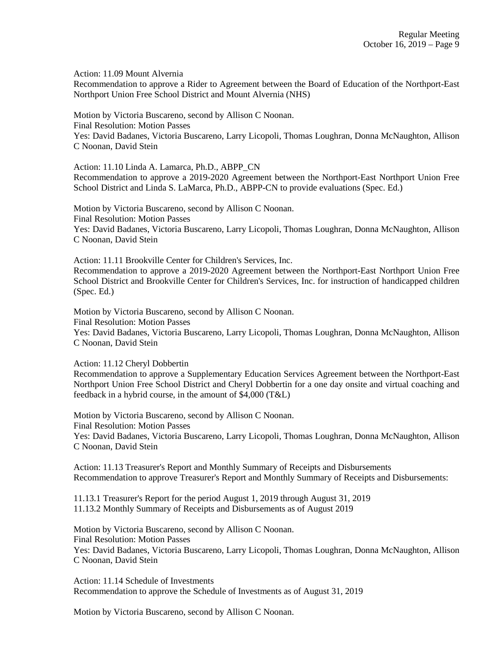Action: 11.09 Mount Alvernia

Recommendation to approve a Rider to Agreement between the Board of Education of the Northport-East Northport Union Free School District and Mount Alvernia (NHS)

Motion by Victoria Buscareno, second by Allison C Noonan. Final Resolution: Motion Passes Yes: David Badanes, Victoria Buscareno, Larry Licopoli, Thomas Loughran, Donna McNaughton, Allison C Noonan, David Stein

Action: 11.10 Linda A. Lamarca, Ph.D., ABPP\_CN Recommendation to approve a 2019-2020 Agreement between the Northport-East Northport Union Free School District and Linda S. LaMarca, Ph.D., ABPP-CN to provide evaluations (Spec. Ed.)

Motion by Victoria Buscareno, second by Allison C Noonan. Final Resolution: Motion Passes Yes: David Badanes, Victoria Buscareno, Larry Licopoli, Thomas Loughran, Donna McNaughton, Allison C Noonan, David Stein

Action: 11.11 Brookville Center for Children's Services, Inc. Recommendation to approve a 2019-2020 Agreement between the Northport-East Northport Union Free School District and Brookville Center for Children's Services, Inc. for instruction of handicapped children (Spec. Ed.)

Motion by Victoria Buscareno, second by Allison C Noonan. Final Resolution: Motion Passes Yes: David Badanes, Victoria Buscareno, Larry Licopoli, Thomas Loughran, Donna McNaughton, Allison C Noonan, David Stein

Action: 11.12 Cheryl Dobbertin

Recommendation to approve a Supplementary Education Services Agreement between the Northport-East Northport Union Free School District and Cheryl Dobbertin for a one day onsite and virtual coaching and feedback in a hybrid course, in the amount of \$4,000 (T&L)

Motion by Victoria Buscareno, second by Allison C Noonan. Final Resolution: Motion Passes Yes: David Badanes, Victoria Buscareno, Larry Licopoli, Thomas Loughran, Donna McNaughton, Allison C Noonan, David Stein

Action: 11.13 Treasurer's Report and Monthly Summary of Receipts and Disbursements Recommendation to approve Treasurer's Report and Monthly Summary of Receipts and Disbursements:

11.13.1 Treasurer's Report for the period August 1, 2019 through August 31, 2019 11.13.2 Monthly Summary of Receipts and Disbursements as of August 2019

Motion by Victoria Buscareno, second by Allison C Noonan. Final Resolution: Motion Passes Yes: David Badanes, Victoria Buscareno, Larry Licopoli, Thomas Loughran, Donna McNaughton, Allison C Noonan, David Stein

Action: 11.14 Schedule of Investments Recommendation to approve the Schedule of Investments as of August 31, 2019

Motion by Victoria Buscareno, second by Allison C Noonan.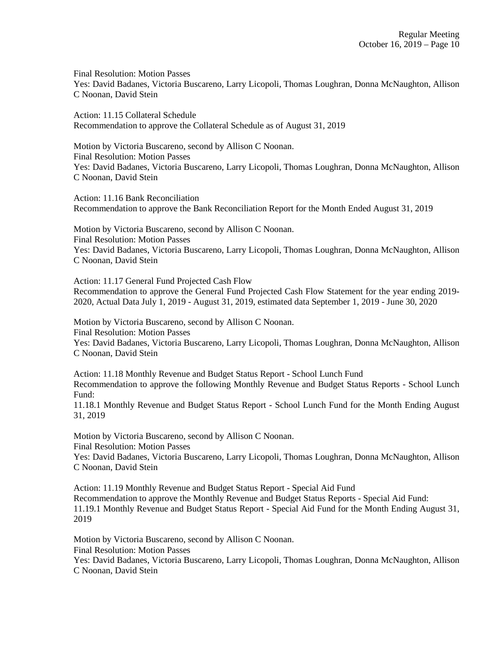Final Resolution: Motion Passes Yes: David Badanes, Victoria Buscareno, Larry Licopoli, Thomas Loughran, Donna McNaughton, Allison C Noonan, David Stein

Action: 11.15 Collateral Schedule Recommendation to approve the Collateral Schedule as of August 31, 2019

Motion by Victoria Buscareno, second by Allison C Noonan. Final Resolution: Motion Passes Yes: David Badanes, Victoria Buscareno, Larry Licopoli, Thomas Loughran, Donna McNaughton, Allison C Noonan, David Stein

Action: 11.16 Bank Reconciliation Recommendation to approve the Bank Reconciliation Report for the Month Ended August 31, 2019

Motion by Victoria Buscareno, second by Allison C Noonan. Final Resolution: Motion Passes Yes: David Badanes, Victoria Buscareno, Larry Licopoli, Thomas Loughran, Donna McNaughton, Allison C Noonan, David Stein

Action: 11.17 General Fund Projected Cash Flow

Recommendation to approve the General Fund Projected Cash Flow Statement for the year ending 2019- 2020, Actual Data July 1, 2019 - August 31, 2019, estimated data September 1, 2019 - June 30, 2020

Motion by Victoria Buscareno, second by Allison C Noonan. Final Resolution: Motion Passes

Yes: David Badanes, Victoria Buscareno, Larry Licopoli, Thomas Loughran, Donna McNaughton, Allison C Noonan, David Stein

Action: 11.18 Monthly Revenue and Budget Status Report - School Lunch Fund Recommendation to approve the following Monthly Revenue and Budget Status Reports - School Lunch Fund:

11.18.1 Monthly Revenue and Budget Status Report - School Lunch Fund for the Month Ending August 31, 2019

Motion by Victoria Buscareno, second by Allison C Noonan.

Final Resolution: Motion Passes

Yes: David Badanes, Victoria Buscareno, Larry Licopoli, Thomas Loughran, Donna McNaughton, Allison C Noonan, David Stein

Action: 11.19 Monthly Revenue and Budget Status Report - Special Aid Fund Recommendation to approve the Monthly Revenue and Budget Status Reports - Special Aid Fund: 11.19.1 Monthly Revenue and Budget Status Report - Special Aid Fund for the Month Ending August 31,

2019

Motion by Victoria Buscareno, second by Allison C Noonan. Final Resolution: Motion Passes

Yes: David Badanes, Victoria Buscareno, Larry Licopoli, Thomas Loughran, Donna McNaughton, Allison C Noonan, David Stein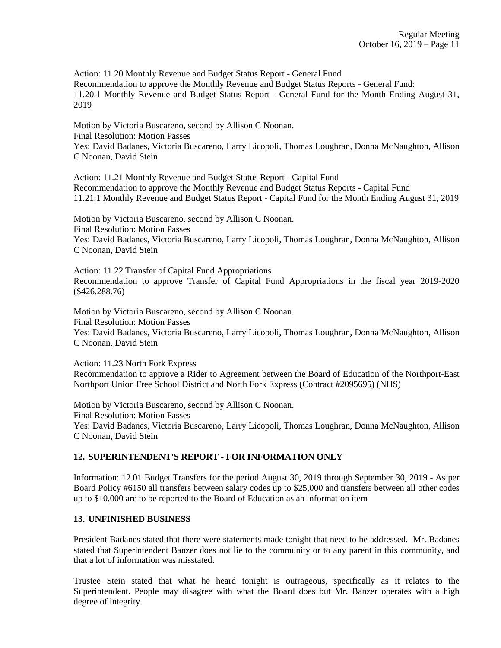Action: 11.20 Monthly Revenue and Budget Status Report - General Fund Recommendation to approve the Monthly Revenue and Budget Status Reports - General Fund: 11.20.1 Monthly Revenue and Budget Status Report - General Fund for the Month Ending August 31, 2019

Motion by Victoria Buscareno, second by Allison C Noonan. Final Resolution: Motion Passes Yes: David Badanes, Victoria Buscareno, Larry Licopoli, Thomas Loughran, Donna McNaughton, Allison C Noonan, David Stein

Action: 11.21 Monthly Revenue and Budget Status Report - Capital Fund Recommendation to approve the Monthly Revenue and Budget Status Reports - Capital Fund 11.21.1 Monthly Revenue and Budget Status Report - Capital Fund for the Month Ending August 31, 2019

Motion by Victoria Buscareno, second by Allison C Noonan. Final Resolution: Motion Passes Yes: David Badanes, Victoria Buscareno, Larry Licopoli, Thomas Loughran, Donna McNaughton, Allison C Noonan, David Stein

Action: 11.22 Transfer of Capital Fund Appropriations Recommendation to approve Transfer of Capital Fund Appropriations in the fiscal year 2019-2020 (\$426,288.76)

Motion by Victoria Buscareno, second by Allison C Noonan. Final Resolution: Motion Passes Yes: David Badanes, Victoria Buscareno, Larry Licopoli, Thomas Loughran, Donna McNaughton, Allison C Noonan, David Stein

Action: 11.23 North Fork Express

Recommendation to approve a Rider to Agreement between the Board of Education of the Northport-East Northport Union Free School District and North Fork Express (Contract #2095695) (NHS)

Motion by Victoria Buscareno, second by Allison C Noonan. Final Resolution: Motion Passes Yes: David Badanes, Victoria Buscareno, Larry Licopoli, Thomas Loughran, Donna McNaughton, Allison C Noonan, David Stein

# **12. SUPERINTENDENT'S REPORT - FOR INFORMATION ONLY**

Information: 12.01 Budget Transfers for the period August 30, 2019 through September 30, 2019 - As per Board Policy #6150 all transfers between salary codes up to \$25,000 and transfers between all other codes up to \$10,000 are to be reported to the Board of Education as an information item

## **13. UNFINISHED BUSINESS**

President Badanes stated that there were statements made tonight that need to be addressed. Mr. Badanes stated that Superintendent Banzer does not lie to the community or to any parent in this community, and that a lot of information was misstated.

Trustee Stein stated that what he heard tonight is outrageous, specifically as it relates to the Superintendent. People may disagree with what the Board does but Mr. Banzer operates with a high degree of integrity.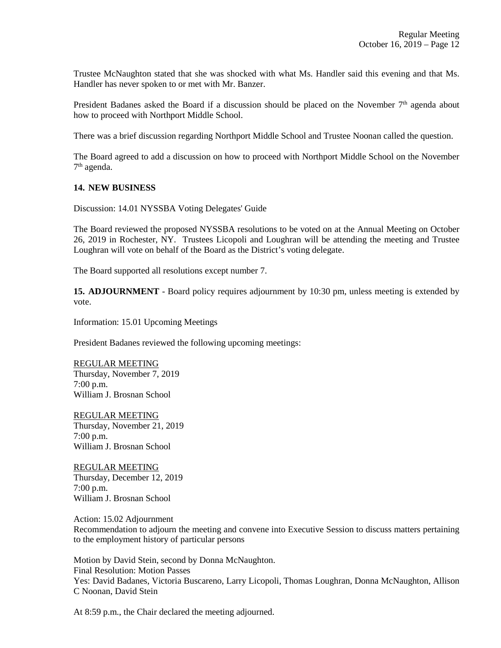Trustee McNaughton stated that she was shocked with what Ms. Handler said this evening and that Ms. Handler has never spoken to or met with Mr. Banzer.

President Badanes asked the Board if a discussion should be placed on the November  $7<sup>th</sup>$  agenda about how to proceed with Northport Middle School.

There was a brief discussion regarding Northport Middle School and Trustee Noonan called the question.

The Board agreed to add a discussion on how to proceed with Northport Middle School on the November 7<sup>th</sup> agenda.

#### **14. NEW BUSINESS**

Discussion: 14.01 NYSSBA Voting Delegates' Guide

The Board reviewed the proposed NYSSBA resolutions to be voted on at the Annual Meeting on October 26, 2019 in Rochester, NY. Trustees Licopoli and Loughran will be attending the meeting and Trustee Loughran will vote on behalf of the Board as the District's voting delegate.

The Board supported all resolutions except number 7.

**15. ADJOURNMENT** - Board policy requires adjournment by 10:30 pm, unless meeting is extended by vote.

Information: 15.01 Upcoming Meetings

President Badanes reviewed the following upcoming meetings:

REGULAR MEETING Thursday, November 7, 2019 7:00 p.m. William J. Brosnan School

REGULAR MEETING Thursday, November 21, 2019 7:00 p.m. William J. Brosnan School

REGULAR MEETING Thursday, December 12, 2019 7:00 p.m. William J. Brosnan School

Action: 15.02 Adjournment Recommendation to adjourn the meeting and convene into Executive Session to discuss matters pertaining to the employment history of particular persons

Motion by David Stein, second by Donna McNaughton. Final Resolution: Motion Passes Yes: David Badanes, Victoria Buscareno, Larry Licopoli, Thomas Loughran, Donna McNaughton, Allison C Noonan, David Stein

At 8:59 p.m., the Chair declared the meeting adjourned.